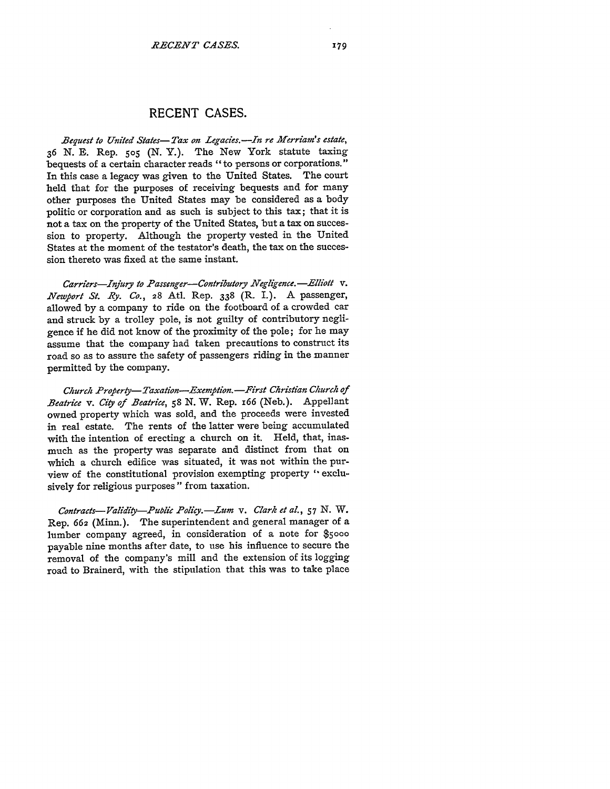## **RECENT CASES.**

*Bequest to United States- Tax on legacies. -In re Merriam's estate,* **36 N. E.** Rep. **505 (N.** Y.). The New York statute taxing bequests of a certain character reads "to persons or corporations." In this case a legacy was given to the United States. The court held that for the purposes of receiving bequests and for many other purposes the United States may be considered as a body politic or corporation and as such is subject to this tax; that it is not a tax on the property of the United States, but a tax on succession to property. Although the property vested in the United States at the moment of the testator's death, the tax on the succession thereto was fixed at the same instant.

*Carriers-Injury to Passenger-Contributory Negligence. -Elliott v. Newport St. Ry. CO.,* 28 Atl. Rep. 338 (R. I.). A passenger, allowed by a company to ride on the footboard of a crowded car and struck by a trolley pole, is not guilty of contributory negligence if he did not know of the proximity of the pole; for he may assume that the company had taken precautions to construct its road so as to assure the safety of passengers riding in the manner permitted by the company.

*Church Properiy-Taxation-Exemption.-First Christian Church of Beatrice v. Ciy of Beatrice,* 58 *N.* W. Rep. 166 (Neb.). Appellant owned property which was sold, and the proceeds were invested in real estate. The rents of the latter were being accumulated with the intention of erecting a church on it. Held, that, inasmuch as the property was separate and distinct from that on which a church edifice was situated, it was not within the purview of the constitutional provision exempting property "exclusively for religious purposes" from taxation.

*Contracts- Vahdit-Pu&1ic Policy.--Lum v. Clark et al., 57* **N.** W. Rep. **662** (Minn.). The superintendent and general manager of a lumber company agreed, in consideration of a note for **\$5000** payable nine months after date, to use his influence to secure the removal of the company's mill and the extension of its logging road to Brainerd, with the stipulation that this was to take place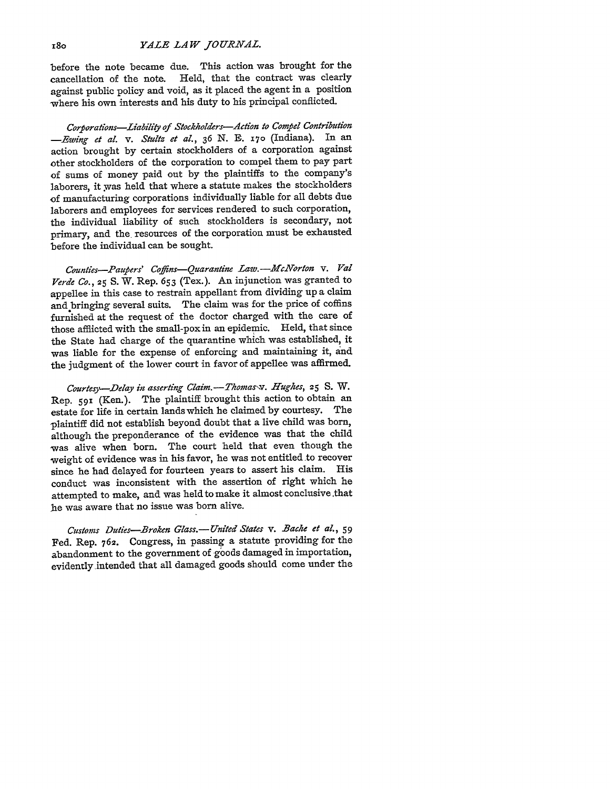before the note became due. This action was brought for the cancellation of the note. Held, that the contract was clearly against public policy and void, as it placed the agent in a position -where his own interests and his duty to his principal conflicted.

*Corporations-Liality of Stockholders-Action to ComPel Contribution* -Ewing et al. v. Stultz et al., 36 N. E. 170 (Indiana). In an action brought by certain stockholders of a corporation against other stockholders of the corporation to compel them to pay part of sums of money paid out by the plaintiffs to the company's laborers, it was held that where a statute makes the stockholders of manufacturing corporations individually liable for all debts due laborers and employees for services rendered to such corporation, the individual liability of such stockholders is secondary, not primary, and the resources of the corporation must be exhausted before the individual can be sought.

*Counties-Paupers' Coffins-Quarantine Law.-Meforton v. Val Verde Co.,* **25** S. W. Rep. 653 (Tex.). An injunction was granted to appellee in this case to restrain appellant from dividing up a claim and bringing several suits. The claim was for the price of coffins furnished at the request of the doctor charged with the care of those afflicted with the small-pox in an epidemic. Held, that since the State had charge of the quarantine which was established, it was liable for the expense of enforcing and maintaining it, and the judgment of the lower court in favor of appellee was affirmed.

*Courtesy-Delay in asserting Claim. -Thomasv. Hughes,* **25** S. W. Rep. 591 (Ken.). The plaintiff brought this action to obtain an estate for life in certain lands which he claimed by courtesy. The plaintiff did not establish beyond doubt that a live child was born, although the preponderance of the evidence was that the child was alive when born. The court held that even though the weight of evidence was in his favor, he was not entitled to recover since he had delayed for fourteen years to assert his claim. His conduct was inconsistent with the assertion of right which he attempted to make, and was held to make it almost conclusive .that he was aware that no issue was born alive.

*Customs Duties-Broken Glass.-United States v. Bache et al., 59* Fed. Rep. **762.** Congress, in passing a statute providing for the abandonment to the government of goods damaged in importation, evidently intended that all damaged goods should come under the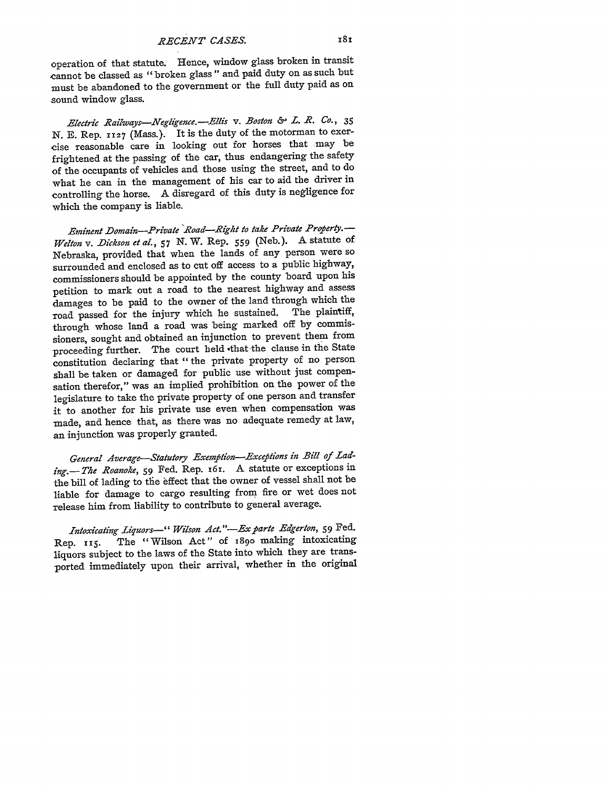operation of that statute. Hence, window glass broken in transit cannot be classed as "broken glass" and paid duty on as such but must be abandoned to the government or the full duty paid as on sound window glass.

*Electric Railways-Negligence.-Ellis v. Boston &- L. R. Co., 35* N. **E.** Rep. **1127** (Mass.). It is the duty of the motorman to exercise reasonable care in looking out for horses that may be frightened at the passing of the car, thus endangering the safety of the occupants of vehicles and those using the street, and to do what he can in the management of his car to aid the driver in controlling the horse. A disregard of this duty is negligence for which the company is liable.

*Bminent Domiain-Private 'Road-Right to take Private Proerty.- Welton v. Dickson* et *al., 57* N. W. Rep. *559* (Neb.). A statute of Nebraska, provided that when the lands of any person were so surrounded and enclosed as to cut off access to a public highway, commissioners should be appointed by the county board upon his petition to mark out a road to the nearest highway and assess damages to be paid to the owner of the land through which the road passed for the injury which he sustained. The plaintiff, road passed for the injury which he sustained. through whose land a road was being marked off by commissioners, sought and obtained an injunction to prevent them from proceeding further. The court held that the clause in the State constitution declaring that "the private property of no person shall be taken or damaged for public use without just compensation therefor," was an implied prohibition on the power of the legislature to take the private property of one person and transfer it to another for his private use even when compensation was made, and hence that, as there was no adequate remedy at law, an injunction was properly granted.

*General Average-Statutory Exemption-Exceptions in Bill of Lad*ing.- The Roanoke, 59 Fed. Rep. 161. A statute or exceptions in the bill of lading to the effect that the owner of vessel shall not be liable for damage to cargo resulting from fire or wet does not Telease him from liability to contribute to general average.

*Intoxicating Liquors-" Wilson Act. "-Bxparte Edgerton, 59* Fed. Rep. **1i5.** The "Wilson Act" of i89o making intoxicating liquors subject to the laws of the State into which they are transported immediately upon their arrival, whether in the original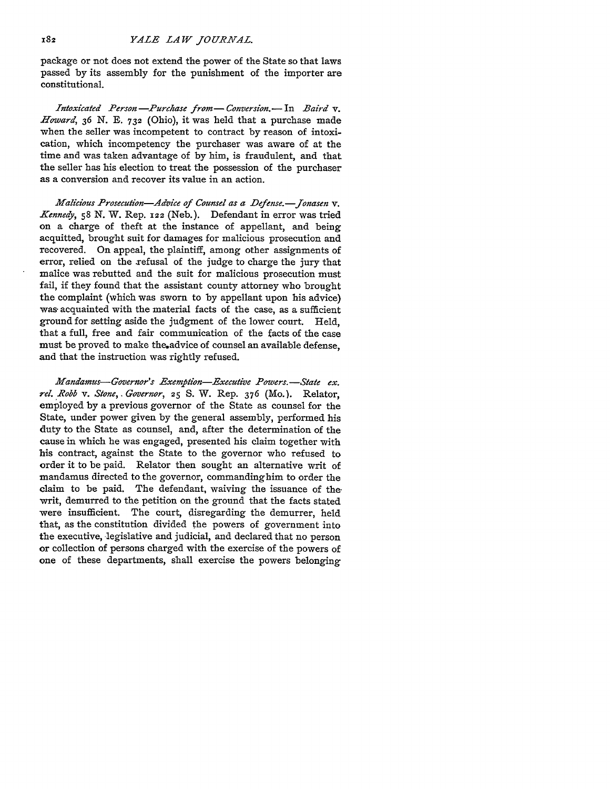package or not does not extend the power of the State so that laws passed by its assembly for the punishment of the importer are constitutional.

*Intoxicated Person-Purchase from- Conversion.- In Baird v. Howard,* 36 N. **E. 732** (Ohio), it was held that a purchase made when the seller was incompetent to contract by reason of intoxication, which incompetency the purchaser was aware of at the time and was taken advantage of by him, is fraudulent, and that the seller has his election to treat the possession of the purchaser as a conversion and recover its value in an action.

*Malicious Prosecution-Advice of Counsel as a Defense.* - Jonasen v. *Kennedy,* 58 N. W. Rep. **122** (Neb.). Defendant in error was tried on a charge of theft at the instance of appellant, and being acquitted, brought suit for damages for malicious prosecution and recovered. On appeal, the plaintiff, among other assignments of error, relied on the refusal of the judge to charge the jury that malice was rebutted and the suit for malicious prosecution must fail, if they found that the assistant county attorney who brought the complaint (which was sworn to by appellant upon his advice) was. acquainted with the material facts of the case, as a sufficient ground for setting aside the judgment of the lower court. Held, that a full, free and fair communication of the facts of the case must be proved to make the advice of counsel an available defense. and that the instruction was rightly refused.

*Mandamus-Governor's Exemption-Executive Powers.-State ex.* rel. Robb v. Stone, Governor, 25 S. W. Rep. 376 (Mo.). Relator, employed by a previous governor of the State as counsel for the State, under power given by the general assembly, performed his duty to the State as counsel, and, after the determination of the cause in which he was engaged, presented his claim together with his contract, against the State to the governor who refused to order it to be paid. Relator then sought an alternative writ of mandamus directed to the governor, commandinghim to order the claim to be paid. The defendant, waiving the issuance of the writ, demurred to the petition on the ground that the facts stated were insufficient. The court, disregarding the demurrer, held that, as the constitution divided the powers of government into the executive, legislative and judicial, and declared that no person or collection of persons charged with the exercise of the powers of one of these departments, shall exercise the powers belonging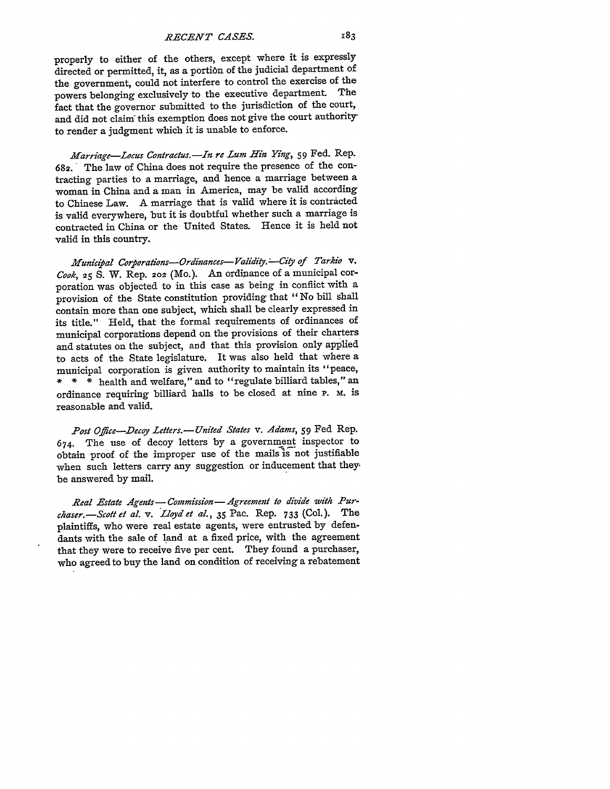## *RECENT CASES.*

properly to either of the others, except where it is expressly directed or permitted, it, as a portion of the judicial department of the government, could not interfere to control the exercise of the powers belonging exclusively to the executive department. The fact that the governor submitted to the jurisdiction of the court, and did not claim this exemption does not give the court authorityto render a judgment which it is unable to enforce.

*AMarriage-Locus Contracus.-In re Lum Hin Ying,* 59 Fed. Rep. **682.** - The law of China does not require the presence of the contracting parties to a marriage, and hence a marriage between a woman in China and a man in America, may be valid according to Chinese Law. A marriage that is valid where it is contracted is valid everywhere, but it is doubtful whether such a marriage is contracted in China or the United States. Hence it is held not valid in this country.

 $\emph{Municipal Corporations—Ordinances—Valiidity.}$ -City of Tarkio v. *Cook,* **25** S. W. Rep. **202** (Mo.). An ordinance of a municipal corporation was objected to in this case as being in conflict with a provision of the State constitution providing that "No bill shall contain more than one subject, which shall be clearly expressed in its title." Held, that the formal requirements of ordinances of municipal corporations depend on the provisions of their charters and statutes on the subject, and that this provision only applied to acts of the State legislature. It was also held that where a municipal corporation is given authority to maintain its "peace, **\* \* \*** health and welfare," and to "regulate billiard tables," an ordinance requiring billiard halls to be closed at nine **P.** M. is reasonable and valid.

*Post Office-Decoy Letters.-United States v. Adams,* 59 Fed Rep. 674. The use of decoy letters by a government inspector to obtain proof of the improper use of the mails is not justifiable when such letters carry any suggestion or inducement that they. be answered by mail.

*Real Estate Agents- Commission- Agreement to divide with Purchaser.-Scottet al. v. Lloydet al.,* 35 Pac. Rep. 733 (Col.). The plaintiffs, who were real estate agents, were entrusted **by** defendants with the sale of land at a fixed price, with the agreement that they were to receive five per cent. They found a purchaser, who agreed to buy the land on condition of receiving a rebatement